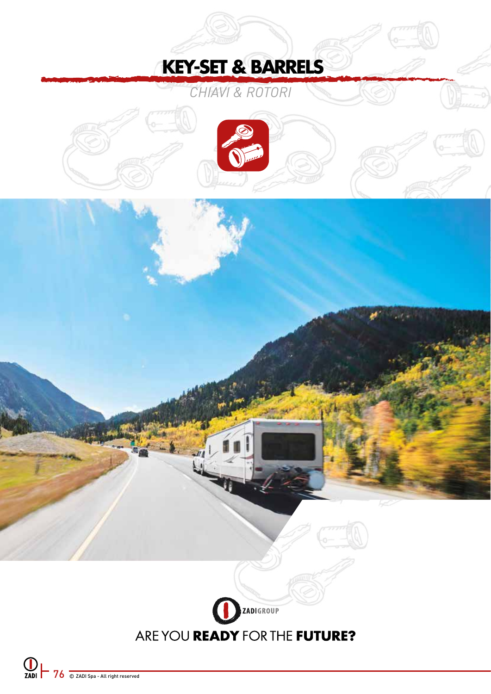# **KEY-SET & BARRELS**

*CHIAVI & ROTORI*



# ZADIGROUP ARE YOU READY FOR THE FUTURE?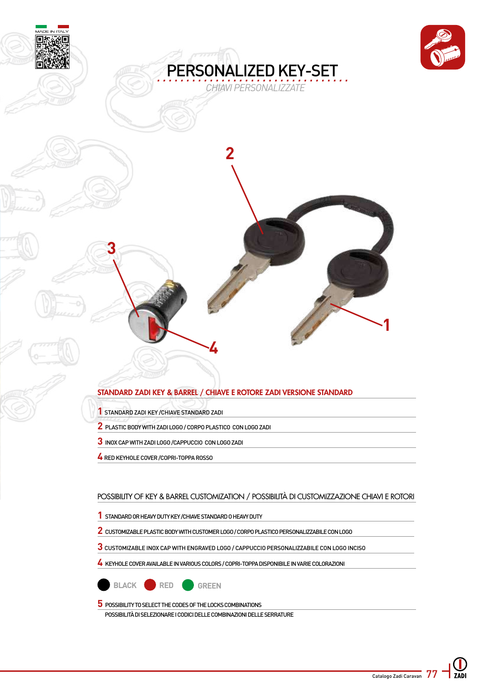



## STANDARD ZADI KEY & BARREL / CHIAVE E ROTORE ZADI VERSIONE STANDARD

STANDARD ZADI KEY /CHIAVE STANDARD ZADI

- PLASTIC BODY WITH ZADI LOGO / CORPO PLASTICO CON LOGO ZADI
- INOX CAP WITH ZADI LOGO /CAPPUCCIO CON LOGO ZADI
- RED KEYHOLE COVER /COPRI-TOPPA ROSSO

#### POSSIBILITY OF KEY & BARREL CUSTOMIZATION / POSSIBILITÀ DI CUSTOMIZZAZIONE CHIAVI E ROTORI

- STANDARD OR HEAVY DUTY KEY /CHIAVE STANDARD O HEAVY DUTY
- CUSTOMIZABLE PLASTIC BODY WITH CUSTOMER LOGO / CORPO PLASTICO PERSONALIZZABILE CON LOGO
- CUSTOMIZABLE INOX CAP WITH ENGRAVED LOGO / CAPPUCCIO PERSONALIZZABILE CON LOGO INCISO

KEYHOLE COVER AVAILABLE IN VARIOUS COLORS / COPRI-TOPPA DISPONIBILE IN VARIE COLORAZIONI



POSSIBILITY TO SELECT THE CODES OF THE LOCKS COMBINATIONS

POSSIBILITÀ DI SELEZIONARE I CODICI DELLE COMBINAZIONI DELLE SERRATURE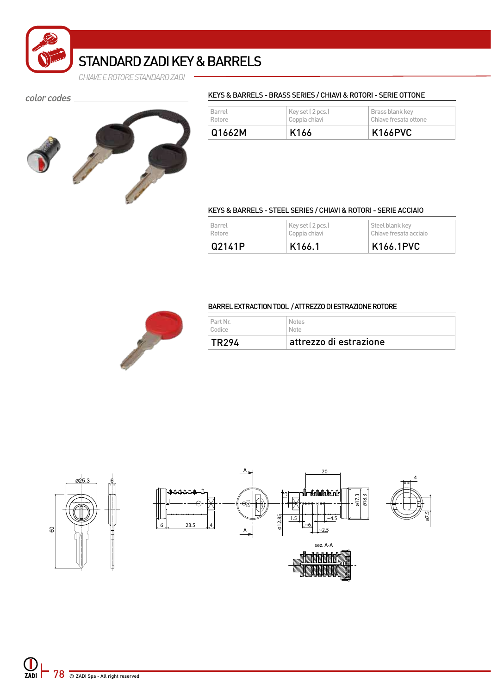

## STANDARD ZADI KEY & BARRELS

*CHIAVE E ROTORE STANDARD ZADI*

color codes \_



### KEYS & BARRELS - BRASS SERIES / CHIAVI & ROTORI - SERIE OTTONE

| Barrel | Key set (2 pcs.) | Brass blank key       |
|--------|------------------|-----------------------|
| Rotore | Coppia chiavi    | Chiave fresata ottone |
| Q1662M | K166             | <b>K166PVC</b>        |

#### KEYS & BARRELS - STEEL SERIES / CHIAVI & ROTORI - SERIE ACCIAIO

| Barrel | Key set (2 pcs.)    | Steel blank key        |
|--------|---------------------|------------------------|
| Rotore | Coppia chiavi       | Chiave fresata acciaio |
| Q2141P | K <sub>166</sub> .1 | K166.1PVC              |



### BARREL EXTRACTION TOOL / ATTREZZO DI ESTRAZIONE ROTORE

| TR294    | attrezzo di estrazione |
|----------|------------------------|
| Part Nr. | <b>Notes</b>           |
| Codice   | Note                   |

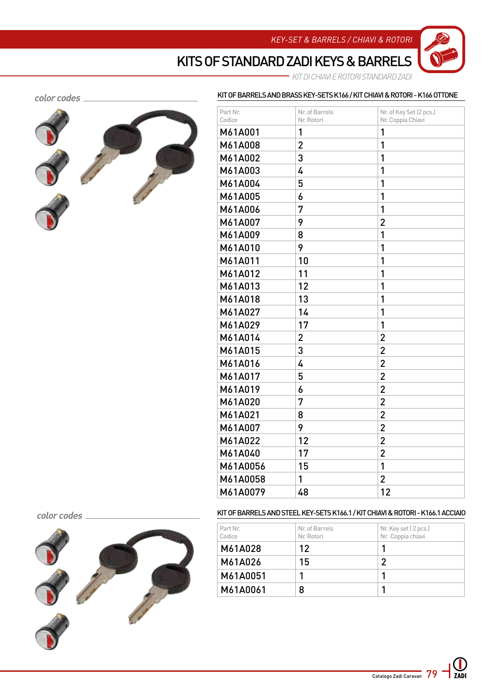*KEY-SET & BARRELS / CHIAVI & ROTORI*

KIT OF BARRELS AND BRASS KEY-SETS K166 / KIT CHIAVI & ROTORI - K166 OTTONE

KITS OF STANDARD ZADI KEYS & BARRELS

*KIT DI CHIAVI E ROTORI STANDARD ZADI*

#### color codes .



| Part Nr.<br>Codice | Nr. of Barrels<br>Nr. Rotori | Nr. of Key Set (2 pcs.)<br>Nr. Coppia Chiavi |
|--------------------|------------------------------|----------------------------------------------|
| M61A001            | 1                            | 1                                            |
| M61A008            | $\overline{c}$               | 1                                            |
| M61A002            | 3                            | 1                                            |
| M61A003            | 4                            | 1                                            |
| M61A004            | 5                            | 1                                            |
| M61A005            | 6                            | 1                                            |
| M61A006            | 7                            | 1                                            |
| M61A007            | 9                            | $\overline{2}$                               |
| M61A009            | 8                            | 1                                            |
| M61A010            | 9                            | 1                                            |
| M61A011            | 10                           | 1                                            |
| M61A012            | 11                           | 1                                            |
| M61A013            | 12                           | 1                                            |
| M61A018            | 13                           | 1                                            |
| M61A027            | 14                           | 1                                            |
| M61A029            | 17                           | 1                                            |
| M61A014            | $\overline{2}$               | $\overline{2}$                               |
| M61A015            | 3                            | $\overline{2}$                               |
| M61A016            | 4                            | $\overline{2}$                               |
| M61A017            | 5                            | $\overline{2}$                               |
| M61A019            | 6                            | $\overline{2}$                               |
| M61A020            | 7                            | $\overline{2}$                               |
| M61A021            | 8                            | $\overline{c}$                               |
| M61A007            | 9                            | $\overline{2}$                               |
| M61A022            | 12                           | $\overline{2}$                               |
| M61A040            | 17                           | $\overline{2}$                               |
| M61A0056           | 15                           | 1                                            |
| M61A0058           | 1                            | 2                                            |
| M61A0079           | 48                           | 12                                           |

#### color codes



KIT OF BARRELS AND STEEL KEY-SETS K166.1 / KIT CHIAVI & ROTORI - K166.1 ACCIAIO

| Part Nr.<br>Codice | Nr. of Barrels<br>Nr. Rotori | Nr. Key set (2 pcs.)<br>Nr. Coppia chiavi |
|--------------------|------------------------------|-------------------------------------------|
| M61A028            | 12                           |                                           |
| M61A026            | 15                           | 2                                         |
| M61A0051           |                              |                                           |
| M61A0061           | 8                            |                                           |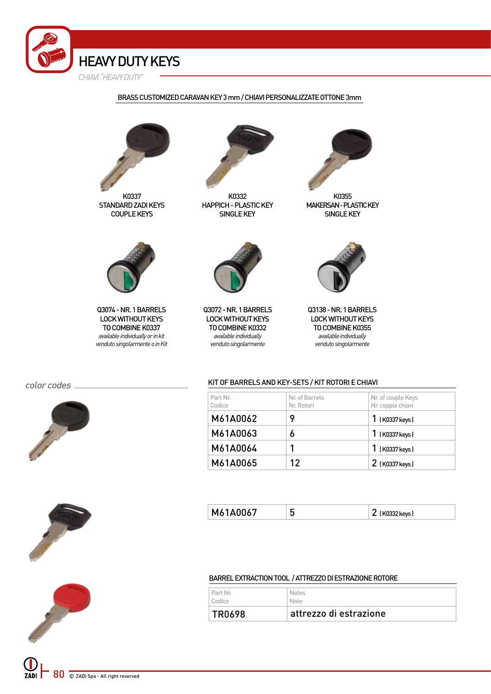

#### BRASS CUSTOMIZED CARAVAN KEY 3 mm / CHIAVI PERSONALIZZATE OTTONE 3mm



K0337 STANDARD ZADI KEYS COUPLE KEYS



Q3074 - NR. 1 BARRELS LOCK WITHOUT KEYS TO COMBINE K0337 *available individually or in kit venduto singolarmente o in Kit*

color codes \_\_









K0332 HAPPICH - PLASTIC KEY SINGLE KEY



K0355 MAKERSAN - PLASTIC KEY SINGLE KEY



Q3072 - NR. 1 BARRELS LOCK WITHOUT KEYS TO COMBINE K0332 *available individually venduto singolarmente*



Q3138 - NR. 1 BARRELS LOCK WITHOUT KEYS TO COMBINE K0355 *available individually venduto singolarmente*

#### KIT OF BARRELS AND KEY-SETS / KIT ROTORI E CHIAVI

| Part Nr.<br>Codice | Nr. of Barrels<br>Nr. Rotori | Nr. of couple Keys<br>Nr. coppia chiavi |
|--------------------|------------------------------|-----------------------------------------|
| M61A0062           |                              | 1 (K0337 keys)                          |
| M61A0063           | 6                            | 1 (K0337 keys)                          |
| M61A0064           |                              | 1 (K0337 keys)                          |
| M61A0065           | 12                           | 2 (K0337 keys)                          |

| M61A0067 | w | ו kevs ל <sup>ר</sup><br>1.122222132 |
|----------|---|--------------------------------------|
|          |   |                                      |

#### BARREL EXTRACTION TOOL / ATTREZZO DI ESTRAZIONE ROTORE

| Part Nr.      | <b>Notes</b>           |
|---------------|------------------------|
| Codice        | <b>Note</b>            |
| <b>TR0698</b> | attrezzo di estrazione |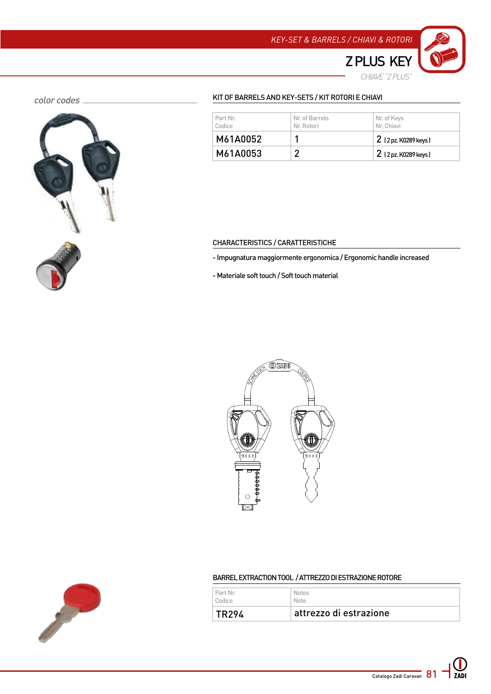

*CHIAVE "Z PLUS"* 

#### color codes \_



#### KIT OF BARRELS AND KEY-SETS / KIT ROTORI E CHIAVI

| Part Nr.<br>Codice | Nr. of Barrels<br>Nr. Rotori | Nr. of Keys<br>Nr. Chiavi |
|--------------------|------------------------------|---------------------------|
| M61A0052           |                              | 2 (2 pz. K0289 keys)      |
| M61A0053           |                              | $2$ (2 pz. K0289 keys)    |

#### CHARACTERISTICS / CARATTERISTICHE

- Impugnatura maggiormente ergonomica / Ergonomic handle increased

- Materiale soft touch / Soft touch material





### BARREL EXTRACTION TOOL / ATTREZZO DI ESTRAZIONE ROTORE

| l Part Nr.         | <b>Notes</b>           |
|--------------------|------------------------|
| Codice             | Note                   |
| TR <sub>29</sub> 4 | attrezzo di estrazione |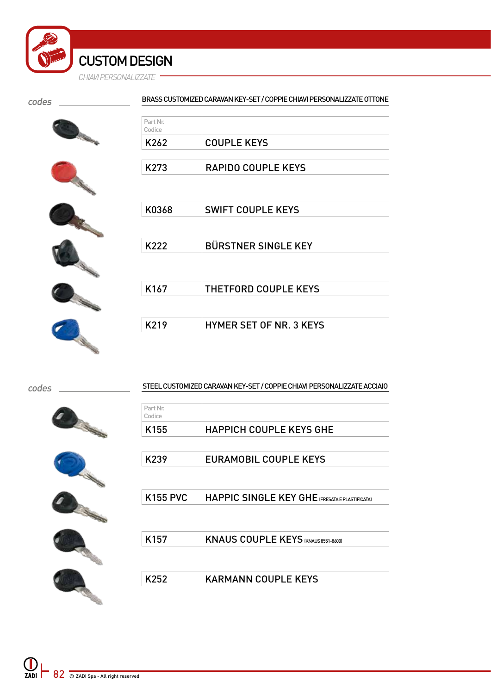#### codes

#### BRASS CUSTOMIZED CARAVAN KEY-SET / COPPIE CHIAVI PERSONALIZZATE OTTONE

| Part Nr.<br>Codice |                           |
|--------------------|---------------------------|
| K262               | COUPLE KEYS               |
| K <sub>273</sub>   | <b>RAPIDO COUPLE KEYS</b> |



| K0368            | <b>SWIFT COUPLE KEYS</b>       |
|------------------|--------------------------------|
|                  |                                |
| K222             | <b>BÜRSTNER SINGLE KEY</b>     |
|                  |                                |
|                  |                                |
| K <sub>167</sub> | THETFORD COUPLE KEYS           |
|                  |                                |
| K219             | <b>HYMER SET OF NR. 3 KEYS</b> |
|                  |                                |

codes

STEEL CUSTOMIZED CARAVAN KEY-SET / COPPIE CHIAVI PERSONALIZZATE ACCIAIO

| Part Nr.<br>Codice |                                               |
|--------------------|-----------------------------------------------|
| K155               | <b>HAPPICH COUPLE KEYS GHE</b>                |
|                    |                                               |
| K239               | <b>EURAMOBIL COUPLE KEYS</b>                  |
|                    |                                               |
| <b>K155 PVC</b>    | HAPPIC SINGLE KEY GHE (FRESATAE PLASTIFICATA) |
|                    |                                               |
| K157               | <b>KNAUS COUPLE KEYS (KNAUS 8551-8600)</b>    |
|                    |                                               |
| K252               | <b>KARMANN COUPLE KEYS</b>                    |
|                    |                                               |